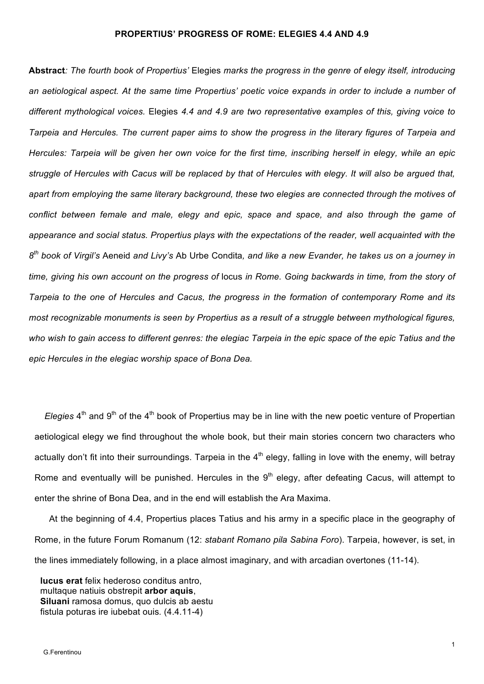## **PROPERTIUS' PROGRESS OF ROME: ELEGIES 4.4 AND 4.9**

**Abstract***: The fourth book of Propertius'* Elegies *marks the progress in the genre of elegy itself, introducing an aetiological aspect. Αt the same time Propertius' poetic voice expands in order to include a number of different mythological voices.* Elegies *4.4 and 4.9 are two representative examples of this, giving voice to Tarpeia and Hercules. The current paper aims to show the progress in the literary figures of Tarpeia and Hercules: Tarpeia will be given her own voice for the first time, inscribing herself in elegy, while an epic struggle of Hercules with Cacus will be replaced by that of Hercules with elegy. It will also be argued that, apart from employing the same literary background, these two elegies are connected through the motives of conflict between female and male, elegy and epic, space and space, and also through the game of appearance and social status. Propertius plays with the expectations of the reader, well acquainted with the 8th book of Virgil's* Aeneid *and Livy's* Ab Urbe Condita*, and like a new Evander, he takes us on a journey in time, giving his own account on the progress of* locus *in Rome. Going backwards in time, from the story of Tarpeia to the one of Hercules and Cacus, the progress in the formation of contemporary Rome and its most recognizable monuments is seen by Propertius as a result of a struggle between mythological figures, who wish to gain access to different genres: the elegiac Tarpeia in the epic space of the epic Tatius and the epic Hercules in the elegiac worship space of Bona Dea.* 

*Elegies* 4<sup>th</sup> and 9<sup>th</sup> of the 4<sup>th</sup> book of Propertius may be in line with the new poetic venture of Propertian aetiological elegy we find throughout the whole book, but their main stories concern two characters who actually don't fit into their surroundings. Tarpeia in the  $4<sup>th</sup>$  elegy, falling in love with the enemy, will betray Rome and eventually will be punished. Hercules in the  $9<sup>th</sup>$  elegy, after defeating Cacus, will attempt to enter the shrine of Bona Dea, and in the end will establish the Ara Maxima.

At the beginning of 4.4, Propertius places Tatius and his army in a specific place in the geography of Rome, in the future Forum Romanum (12: *stabant Romano pila Sabina Foro*). Tarpeia, however, is set, in the lines immediately following, in a place almost imaginary, and with arcadian overtones (11-14).

**lucus erat** felix hederoso conditus antro, multaque natiuis obstrepit **arbor aquis**, **Siluani** ramosa domus, quo dulcis ab aestu fistula poturas ire iubebat ouis*.* (4.4.11-4)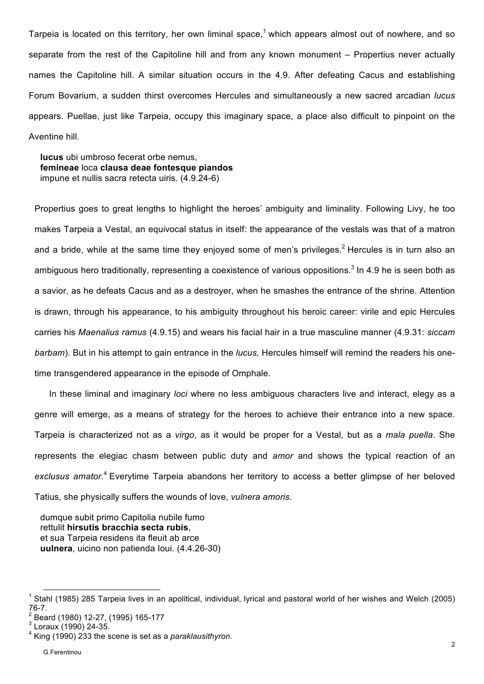Tarpeia is located on this territory, her own liminal space,<sup>1</sup> which appears almost out of nowhere, and so separate from the rest of the Capitoline hill and from any known monument – Propertius never actually names the Capitoline hill. A similar situation occurs in the 4.9. After defeating Cacus and establishing Forum Bovarium, a sudden thirst overcomes Hercules and simultaneously a new sacred arcadian *lucus* appears. Puellae, just like Tarpeia, occupy this imaginary space, a place also difficult to pinpoint on the Aventine hill.

**lucus** ubi umbroso fecerat orbe nemus, **femineae** loca **clausa deae fontesque piandos** impune et nullis sacra retecta uiris. (4.9.24-6)

Propertius goes to great lengths to highlight the heroes' ambiguity and liminality. Following Livy, he too makes Tarpeia a Vestal, an equivocal status in itself: the appearance of the vestals was that of a matron and a bride, while at the same time they enjoyed some of men's privileges.<sup>2</sup> Hercules is in turn also an ambiguous hero traditionally, representing a coexistence of various oppositions.<sup>3</sup> In 4.9 he is seen both as a savior, as he defeats Cacus and as a destroyer, when he smashes the entrance of the shrine. Attention is drawn, through his appearance, to his ambiguity throughout his heroic career: virile and epic Hercules carries his *Maenalius ramus* (4.9.15) and wears his facial hair in a true masculine manner (4.9.31: *siccam barbam*). But in his attempt to gain entrance in the *lucus,* Hercules himself will remind the readers his onetime transgendered appearance in the episode of Omphale.

In these liminal and imaginary *loci* where no less ambiguous characters live and interact, elegy as a genre will emerge, as a means of strategy for the heroes to achieve their entrance into a new space. Tarpeia is characterized not as a *virgo*, as it would be proper for a Vestal, but as a *mala puella*. She represents the elegiac chasm between public duty and *amor* and shows the typical reaction of an exclusus amator.<sup>4</sup> Everytime Tarpeia abandons her territory to access a better glimpse of her beloved Tatius, she physically suffers the wounds of love, *vulnera amoris*.

dumque subit primo Capitolia nubile fumo rettulit **hirsutis bracchia secta rubis**, et sua Tarpeia residens ita fleuit ab arce **uulnera**, uicino non patienda Ioui. (4.4.26-30)

 $1$  Stahl (1985) 285 Tarpeia lives in an apolitical, individual, lyrical and pastoral world of her wishes and Welch (2005) 76-7.

 $^2$  Beard (1980) 12-27, (1995) 165-177<br> $^3$  Loraux (1990) 24-35.

King (1990) 233 the scene is set as a *paraklausithyron*.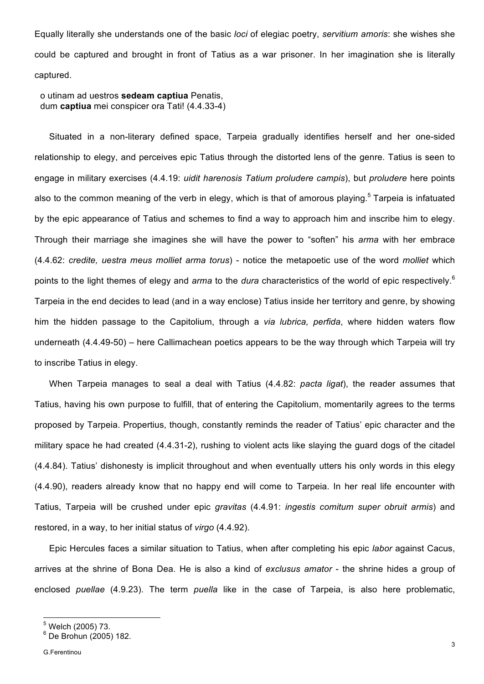Equally literally she understands one of the basic *loci* of elegiac poetry, *servitium amoris*: she wishes she could be captured and brought in front of Tatius as a war prisoner. In her imagination she is literally captured.

## o utinam ad uestros **sedeam captiua** Penatis, dum **captiua** mei conspicer ora Tati! (4.4.33-4)

Situated in a non-literary defined space, Tarpeia gradually identifies herself and her one-sided relationship to elegy, and perceives epic Tatius through the distorted lens of the genre. Tatius is seen to engage in military exercises (4.4.19: *uidit harenosis Tatium proludere campis*), but *proludere* here points also to the common meaning of the verb in elegy, which is that of amorous playing.<sup>5</sup> Tarpeia is infatuated by the epic appearance of Tatius and schemes to find a way to approach him and inscribe him to elegy. Through their marriage she imagines she will have the power to "soften" his *arma* with her embrace (4.4.62: *credite, uestra meus molliet arma torus*) - notice the metapoetic use of the word *molliet* which points to the light themes of elegy and *arma* to the *dura* characteristics of the world of epic respectively.<sup>6</sup> Tarpeia in the end decides to lead (and in a way enclose) Tatius inside her territory and genre, by showing him the hidden passage to the Capitolium, through a *via lubrica, perfida*, where hidden waters flow underneath (4.4.49-50) – here Callimachean poetics appears to be the way through which Tarpeia will try to inscribe Tatius in elegy.

When Tarpeia manages to seal a deal with Tatius (4.4.82: *pacta ligat*), the reader assumes that Tatius, having his own purpose to fulfill, that of entering the Capitolium, momentarily agrees to the terms proposed by Tarpeia. Propertius, though, constantly reminds the reader of Tatius' epic character and the military space he had created (4.4.31-2), rushing to violent acts like slaying the guard dogs of the citadel (4.4.84). Tatius' dishonesty is implicit throughout and when eventually utters his only words in this elegy (4.4.90), readers already know that no happy end will come to Tarpeia. In her real life encounter with Tatius, Tarpeia will be crushed under epic *gravitas* (4.4.91: *ingestis comitum super obruit armis*) and restored, in a way, to her initial status of *virgo* (4.4.92).

Epic Hercules faces a similar situation to Tatius, when after completing his epic *labor* against Cacus, arrives at the shrine of Bona Dea. He is also a kind of *exclusus amator* - the shrine hides a group of enclosed *puellae* (4.9.23). The term *puella* like in the case of Tarpeia, is also here problematic,

 $^5$  Welch (2005) 73.<br> $^6$  De Brohun (2005) 182.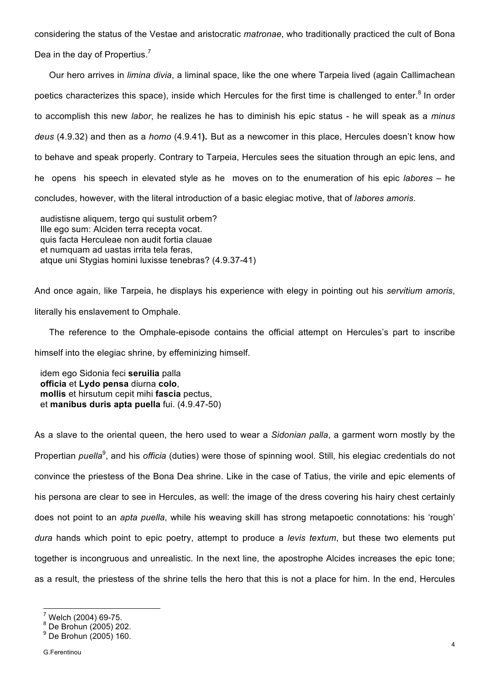considering the status of the Vestae and aristocratic *matronae*, who traditionally practiced the cult of Bona Dea in the day of Propertius.<sup>7</sup>

Our hero arrives in *limina divia*, a liminal space, like the one where Tarpeia lived (again Callimachean poetics characterizes this space), inside which Hercules for the first time is challenged to enter.<sup>8</sup> In order to accomplish this new *labor*, he realizes he has to diminish his epic status - he will speak as a *minus deus* (4.9.32) and then as a *homo* (4.9.41**).** But as a newcomer in this place, Hercules doesn't know how to behave and speak properly. Contrary to Tarpeia, Hercules sees the situation through an epic lens, and he opens his speech in elevated style as he moves on to the enumeration of his epic *labores* – he concludes, however, with the literal introduction of a basic elegiac motive, that of *labores amoris*.

audistisne aliquem, tergo qui sustulit orbem? Ille ego sum: Alciden terra recepta vocat. quis facta Herculeae non audit fortia clauae et numquam ad uastas irrita tela feras, atque uni Stygias homini luxisse tenebras? (4.9.37-41)

And once again, like Tarpeia, he displays his experience with elegy in pointing out his *servitium amoris*, literally his enslavement to Omphale.

The reference to the Omphale-episode contains the official attempt on Hercules's part to inscribe himself into the elegiac shrine, by effeminizing himself.

idem ego Sidonia feci **seruilia** palla **officia** et **Lydo pensa** diurna **colo**, **mollis** et hirsutum cepit mihi **fascia** pectus, et **manibus duris apta puella** fui. (4.9.47-50)

As a slave to the oriental queen, the hero used to wear a *Sidonian palla*, a garment worn mostly by the Propertian *puella*<sup>9</sup>, and his *officia* (duties) were those of spinning wool. Still, his elegiac credentials do not convince the priestess of the Bona Dea shrine. Like in the case of Tatius, the virile and epic elements of his persona are clear to see in Hercules, as well: the image of the dress covering his hairy chest certainly does not point to an *apta puella*, while his weaving skill has strong metapoetic connotations: his 'rough' *dura* hands which point to epic poetry, attempt to produce a *levis textum*, but these two elements put together is incongruous and unrealistic. In the next line, the apostrophe Alcides increases the epic tone; as a result, the priestess of the shrine tells the hero that this is not a place for him. In the end, Hercules

 $^7$  Welch (2004) 69-75.<br> $^8$  De Brohun (2005) 202.<br> $^9$  De Brohun (2005) 160.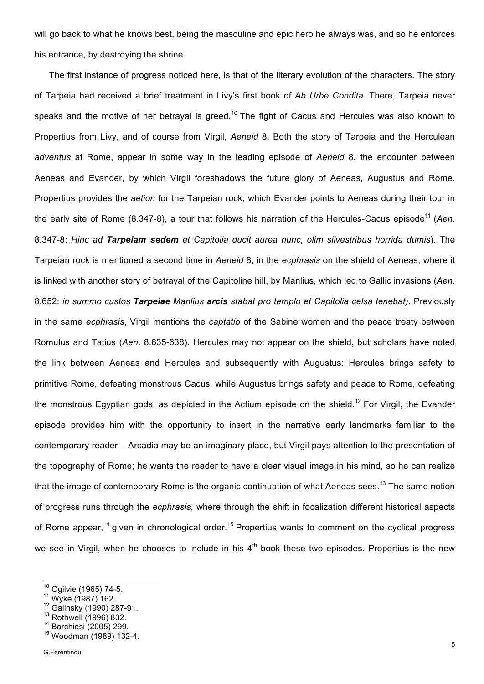will go back to what he knows best, being the masculine and epic hero he always was, and so he enforces his entrance, by destroying the shrine.

The first instance of progress noticed here, is that of the literary evolution of the characters. The story of Tarpeia had received a brief treatment in Livy's first book of *Ab Urbe Condita*. There, Tarpeia never speaks and the motive of her betrayal is greed.<sup>10</sup> The fight of Cacus and Hercules was also known to Propertius from Livy, and of course from Virgil, *Aeneid* 8. Both the story of Tarpeia and the Herculean *adventus* at Rome, appear in some way in the leading episode of *Aeneid* 8, the encounter between Aeneas and Evander, by which Virgil foreshadows the future glory of Aeneas, Augustus and Rome. Propertius provides the *aetion* for the Tarpeian rock, which Evander points to Aeneas during their tour in the early site of Rome (8.347-8), a tour that follows his narration of the Hercules-Cacus episode<sup>11</sup> (Aen. 8.347-8: *Hinc ad Tarpeiam sedem et Capitolia ducit aurea nunc, olim silvestribus horrida dumis*). The Tarpeian rock is mentioned a second time in *Aeneid* 8, in the *ecphrasis* on the shield of Aeneas, where it is linked with another story of betrayal of the Capitoline hill, by Manlius, which led to Gallic invasions (*Aen*. 8.652: *in summo custos Tarpeiae Manlius arcis stabat pro templo et Capitolia celsa tenebat)*. Previously in the same *ecphrasis*, Virgil mentions the *captatio* of the Sabine women and the peace treaty between Romulus and Tatius (*Aen*. 8.635-638). Hercules may not appear on the shield, but scholars have noted the link between Aeneas and Hercules and subsequently with Augustus: Hercules brings safety to primitive Rome, defeating monstrous Cacus, while Augustus brings safety and peace to Rome, defeating the monstrous Egyptian gods, as depicted in the Actium episode on the shield.<sup>12</sup> For Virgil, the Evander episode provides him with the opportunity to insert in the narrative early landmarks familiar to the contemporary reader – Arcadia may be an imaginary place, but Virgil pays attention to the presentation of the topography of Rome; he wants the reader to have a clear visual image in his mind, so he can realize that the image of contemporary Rome is the organic continuation of what Aeneas sees.<sup>13</sup> The same notion of progress runs through the *ecphrasis*, where through the shift in focalization different historical aspects of Rome appear,<sup>14</sup> given in chronological order.<sup>15</sup> Propertius wants to comment on the cyclical progress we see in Virgil, when he chooses to include in his  $4<sup>th</sup>$  book these two episodes. Propertius is the new

 $^{10}$  Ogilvie (1965) 74-5.<br><sup>11</sup> Wyke (1987) 162.

<sup>&</sup>lt;sup>12</sup> Galinsky (1990) 287-91.<br><sup>13</sup> Rothwell (1996) 832.<br><sup>14</sup> Barchiesi (2005) 299.<br><sup>15</sup> Woodman (1989) 132-4.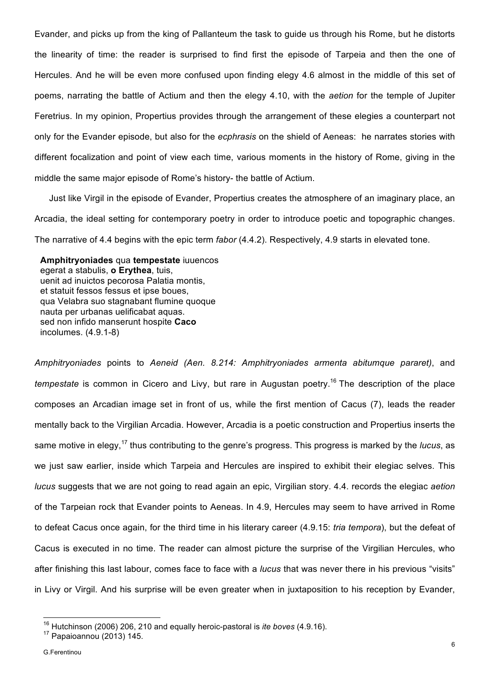Evander, and picks up from the king of Pallanteum the task to guide us through his Rome, but he distorts the linearity of time: the reader is surprised to find first the episode of Tarpeia and then the one of Hercules. And he will be even more confused upon finding elegy 4.6 almost in the middle of this set of poems, narrating the battle of Actium and then the elegy 4.10, with the *aetion* for the temple of Jupiter Feretrius. In my opinion, Propertius provides through the arrangement of these elegies a counterpart not only for the Evander episode, but also for the *ecphrasis* on the shield of Aeneas: he narrates stories with different focalization and point of view each time, various moments in the history of Rome, giving in the middle the same major episode of Rome's history- the battle of Actium.

Just like Virgil in the episode of Evander, Propertius creates the atmosphere of an imaginary place, an Arcadia, the ideal setting for contemporary poetry in order to introduce poetic and topographic changes. The narrative of 4.4 begins with the epic term *fabor* (4.4.2). Respectively, 4.9 starts in elevated tone.

**Amphitryoniades** qua **tempestate** iuuencos egerat a stabulis, **o Erythea**, tuis, uenit ad inuictos pecorosa Palatia montis, et statuit fessos fessus et ipse boues, qua Velabra suo stagnabant flumine quoque nauta per urbanas uelificabat aquas. sed non infido manserunt hospite **Caco** incolumes. (4.9.1-8)

*Amphitryoniades* points to *Aeneid (Aen. 8.214: Amphitryoniades armenta abitumque pararet)*, and *tempestate* is common in Cicero and Livy, but rare in Augustan poetry.16 The description of the place composes an Arcadian image set in front of us, while the first mention of Cacus (7), leads the reader mentally back to the Virgilian Arcadia. However, Arcadia is a poetic construction and Propertius inserts the same motive in elegy,<sup>17</sup> thus contributing to the genre's progress. This progress is marked by the *lucus*, as we just saw earlier, inside which Tarpeia and Hercules are inspired to exhibit their elegiac selves. This *lucus* suggests that we are not going to read again an epic, Virgilian story. 4.4. records the elegiac *aetion* of the Tarpeian rock that Evander points to Aeneas. In 4.9, Hercules may seem to have arrived in Rome to defeat Cacus once again, for the third time in his literary career (4.9.15: *tria tempora*), but the defeat of Cacus is executed in no time. The reader can almost picture the surprise of the Virgilian Hercules, who after finishing this last labour, comes face to face with a *lucus* that was never there in his previous "visits" in Livy or Virgil. And his surprise will be even greater when in juxtaposition to his reception by Evander,

<sup>&</sup>lt;sup>16</sup> Hutchinson (2006) 206, 210 and equally heroic-pastoral is *ite boves* (4.9.16).<br><sup>17</sup> Papaioannou (2013) 145.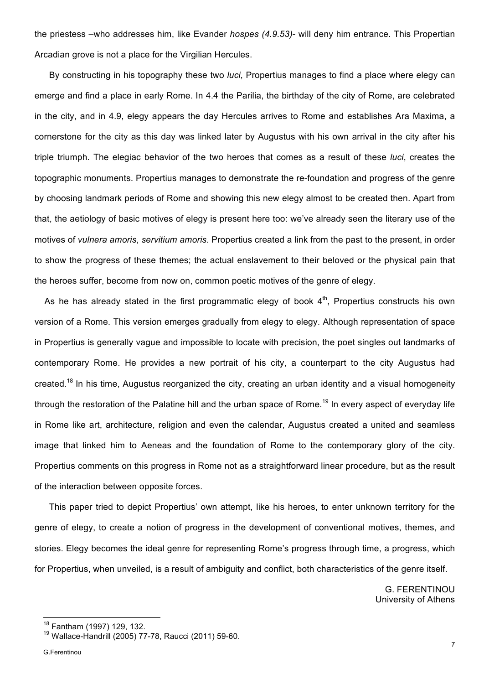the priestess –who addresses him, like Evander *hospes (4.9.53)*- will deny him entrance. This Propertian Arcadian grove is not a place for the Virgilian Hercules.

By constructing in his topography these two *luci*, Propertius manages to find a place where elegy can emerge and find a place in early Rome. In 4.4 the Parilia, the birthday of the city of Rome, are celebrated in the city, and in 4.9, elegy appears the day Hercules arrives to Rome and establishes Ara Maxima, a cornerstone for the city as this day was linked later by Augustus with his own arrival in the city after his triple triumph. The elegiac behavior of the two heroes that comes as a result of these *luci*, creates the topographic monuments. Propertius manages to demonstrate the re-foundation and progress of the genre by choosing landmark periods of Rome and showing this new elegy almost to be created then. Apart from that, the aetiology of basic motives of elegy is present here too: we've already seen the literary use of the motives of *vulnera amoris*, *servitium amoris*. Propertius created a link from the past to the present, in order to show the progress of these themes; the actual enslavement to their beloved or the physical pain that the heroes suffer, become from now on, common poetic motives of the genre of elegy.

As he has already stated in the first programmatic elegy of book  $4<sup>th</sup>$ , Propertius constructs his own version of a Rome. This version emerges gradually from elegy to elegy. Although representation of space in Propertius is generally vague and impossible to locate with precision, the poet singles out landmarks of contemporary Rome. He provides a new portrait of his city, a counterpart to the city Augustus had created.<sup>18</sup> In his time, Augustus reorganized the city, creating an urban identity and a visual homogeneity through the restoration of the Palatine hill and the urban space of Rome.<sup>19</sup> In every aspect of everyday life in Rome like art, architecture, religion and even the calendar, Augustus created a united and seamless image that linked him to Aeneas and the foundation of Rome to the contemporary glory of the city. Propertius comments on this progress in Rome not as a straightforward linear procedure, but as the result of the interaction between opposite forces.

This paper tried to depict Propertius' own attempt, like his heroes, to enter unknown territory for the genre of elegy, to create a notion of progress in the development of conventional motives, themes, and stories. Elegy becomes the ideal genre for representing Rome's progress through time, a progress, which for Propertius, when unveiled, is a result of ambiguity and conflict, both characteristics of the genre itself.

> G. FERENTINOU University of Athens

<sup>&</sup>lt;sup>18</sup> Fantham (1997) 129, 132.<br><sup>19</sup> Wallace-Handrill (2005) 77-78, Raucci (2011) 59-60.